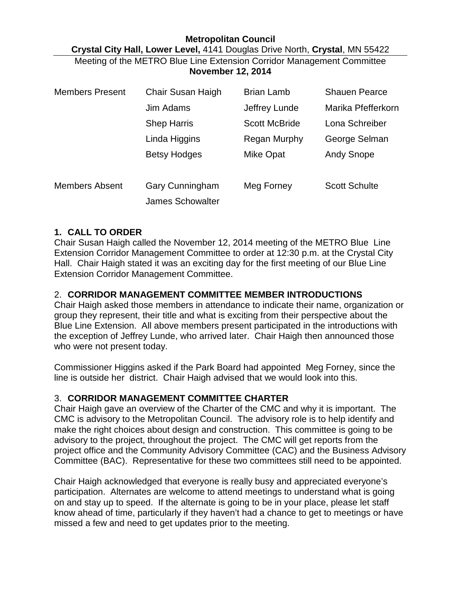## **Metropolitan Council Crystal City Hall, Lower Level,** 4141 Douglas Drive North, **Crystal**, MN 55422 Meeting of the METRO Blue Line Extension Corridor Management Committee **November 12, 2014**

| <b>Members Present</b> | Chair Susan Haigh       | <b>Brian Lamb</b>    | <b>Shauen Pearce</b> |
|------------------------|-------------------------|----------------------|----------------------|
|                        | Jim Adams               | Jeffrey Lunde        | Marika Pfefferkorn   |
|                        | <b>Shep Harris</b>      | <b>Scott McBride</b> | Lona Schreiber       |
|                        | Linda Higgins           | Regan Murphy         | George Selman        |
|                        | <b>Betsy Hodges</b>     | Mike Opat            | <b>Andy Snope</b>    |
| <b>Members Absent</b>  | <b>Gary Cunningham</b>  | Meg Forney           | <b>Scott Schulte</b> |
|                        | <b>James Schowalter</b> |                      |                      |

### **1. CALL TO ORDER**

Chair Susan Haigh called the November 12, 2014 meeting of the METRO Blue Line Extension Corridor Management Committee to order at 12:30 p.m. at the Crystal City Hall. Chair Haigh stated it was an exciting day for the first meeting of our Blue Line Extension Corridor Management Committee.

## 2. **CORRIDOR MANAGEMENT COMMITTEE MEMBER INTRODUCTIONS**

Chair Haigh asked those members in attendance to indicate their name, organization or group they represent, their title and what is exciting from their perspective about the Blue Line Extension. All above members present participated in the introductions with the exception of Jeffrey Lunde, who arrived later. Chair Haigh then announced those who were not present today.

Commissioner Higgins asked if the Park Board had appointed Meg Forney, since the line is outside her district. Chair Haigh advised that we would look into this.

### 3. **CORRIDOR MANAGEMENT COMMITTEE CHARTER**

Chair Haigh gave an overview of the Charter of the CMC and why it is important. The CMC is advisory to the Metropolitan Council. The advisory role is to help identify and make the right choices about design and construction. This committee is going to be advisory to the project, throughout the project. The CMC will get reports from the project office and the Community Advisory Committee (CAC) and the Business Advisory Committee (BAC). Representative for these two committees still need to be appointed.

Chair Haigh acknowledged that everyone is really busy and appreciated everyone's participation. Alternates are welcome to attend meetings to understand what is going on and stay up to speed. If the alternate is going to be in your place, please let staff know ahead of time, particularly if they haven't had a chance to get to meetings or have missed a few and need to get updates prior to the meeting.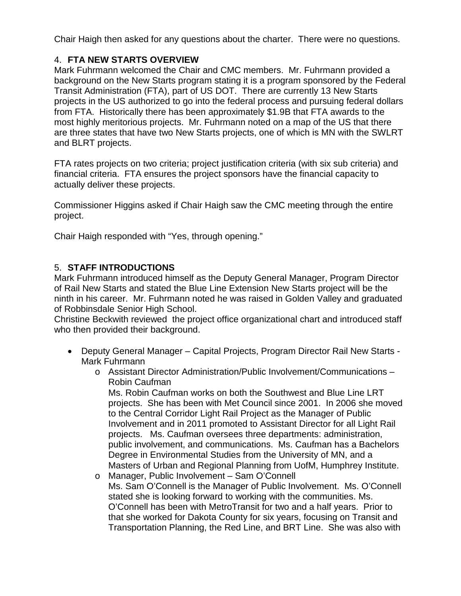Chair Haigh then asked for any questions about the charter. There were no questions.

# 4. **FTA NEW STARTS OVERVIEW**

Mark Fuhrmann welcomed the Chair and CMC members. Mr. Fuhrmann provided a background on the New Starts program stating it is a program sponsored by the Federal Transit Administration (FTA), part of US DOT. There are currently 13 New Starts projects in the US authorized to go into the federal process and pursuing federal dollars from FTA. Historically there has been approximately \$1.9B that FTA awards to the most highly meritorious projects. Mr. Fuhrmann noted on a map of the US that there are three states that have two New Starts projects, one of which is MN with the SWLRT and BLRT projects.

FTA rates projects on two criteria; project justification criteria (with six sub criteria) and financial criteria. FTA ensures the project sponsors have the financial capacity to actually deliver these projects.

Commissioner Higgins asked if Chair Haigh saw the CMC meeting through the entire project.

Chair Haigh responded with "Yes, through opening."

## 5. **STAFF INTRODUCTIONS**

Mark Fuhrmann introduced himself as the Deputy General Manager, Program Director of Rail New Starts and stated the Blue Line Extension New Starts project will be the ninth in his career. Mr. Fuhrmann noted he was raised in Golden Valley and graduated of Robbinsdale Senior High School.

Christine Beckwith reviewed the project office organizational chart and introduced staff who then provided their background.

- Deputy General Manager Capital Projects, Program Director Rail New Starts Mark Fuhrmann
	- o Assistant Director Administration/Public Involvement/Communications Robin Caufman

Ms. Robin Caufman works on both the Southwest and Blue Line LRT projects. She has been with Met Council since 2001. In 2006 she moved to the Central Corridor Light Rail Project as the Manager of Public Involvement and in 2011 promoted to Assistant Director for all Light Rail projects. Ms. Caufman oversees three departments: administration, public involvement, and communications. Ms. Caufman has a Bachelors Degree in Environmental Studies from the University of MN, and a Masters of Urban and Regional Planning from UofM, Humphrey Institute.

o Manager, Public Involvement – Sam O'Connell Ms. Sam O'Connell is the Manager of Public Involvement. Ms. O'Connell stated she is looking forward to working with the communities. Ms. O'Connell has been with MetroTransit for two and a half years. Prior to that she worked for Dakota County for six years, focusing on Transit and Transportation Planning, the Red Line, and BRT Line. She was also with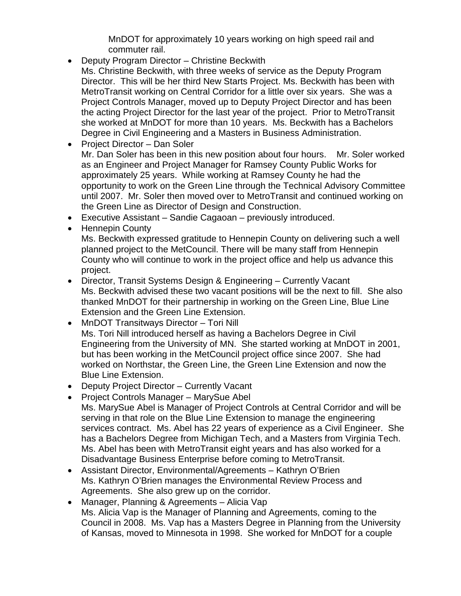MnDOT for approximately 10 years working on high speed rail and commuter rail.

- Deputy Program Director Christine Beckwith
- Ms. Christine Beckwith, with three weeks of service as the Deputy Program Director. This will be her third New Starts Project. Ms. Beckwith has been with MetroTransit working on Central Corridor for a little over six years. She was a Project Controls Manager, moved up to Deputy Project Director and has been the acting Project Director for the last year of the project. Prior to MetroTransit she worked at MnDOT for more than 10 years. Ms. Beckwith has a Bachelors Degree in Civil Engineering and a Masters in Business Administration.
- Project Director Dan Soler Mr. Dan Soler has been in this new position about four hours. Mr. Soler worked as an Engineer and Project Manager for Ramsey County Public Works for approximately 25 years. While working at Ramsey County he had the opportunity to work on the Green Line through the Technical Advisory Committee until 2007. Mr. Soler then moved over to MetroTransit and continued working on the Green Line as Director of Design and Construction.
- Executive Assistant Sandie Cagaoan previously introduced.
- Hennepin County

Ms. Beckwith expressed gratitude to Hennepin County on delivering such a well planned project to the MetCouncil. There will be many staff from Hennepin County who will continue to work in the project office and help us advance this project.

- Director, Transit Systems Design & Engineering Currently Vacant Ms. Beckwith advised these two vacant positions will be the next to fill. She also thanked MnDOT for their partnership in working on the Green Line, Blue Line Extension and the Green Line Extension.
- MnDOT Transitways Director Tori Nill Ms. Tori Nill introduced herself as having a Bachelors Degree in Civil Engineering from the University of MN. She started working at MnDOT in 2001, but has been working in the MetCouncil project office since 2007. She had worked on Northstar, the Green Line, the Green Line Extension and now the Blue Line Extension.
- Deputy Project Director Currently Vacant
- Project Controls Manager MarySue Abel Ms. MarySue Abel is Manager of Project Controls at Central Corridor and will be serving in that role on the Blue Line Extension to manage the engineering services contract. Ms. Abel has 22 years of experience as a Civil Engineer. She has a Bachelors Degree from Michigan Tech, and a Masters from Virginia Tech. Ms. Abel has been with MetroTransit eight years and has also worked for a Disadvantage Business Enterprise before coming to MetroTransit.
- Assistant Director, Environmental/Agreements Kathryn O'Brien Ms. Kathryn O'Brien manages the Environmental Review Process and Agreements. She also grew up on the corridor.
- Manager, Planning & Agreements Alicia Vap Ms. Alicia Vap is the Manager of Planning and Agreements, coming to the Council in 2008. Ms. Vap has a Masters Degree in Planning from the University of Kansas, moved to Minnesota in 1998. She worked for MnDOT for a couple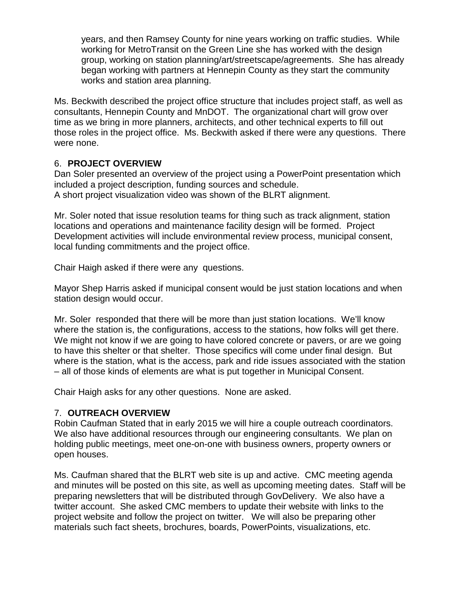years, and then Ramsey County for nine years working on traffic studies. While working for MetroTransit on the Green Line she has worked with the design group, working on station planning/art/streetscape/agreements. She has already began working with partners at Hennepin County as they start the community works and station area planning.

Ms. Beckwith described the project office structure that includes project staff, as well as consultants, Hennepin County and MnDOT. The organizational chart will grow over time as we bring in more planners, architects, and other technical experts to fill out those roles in the project office. Ms. Beckwith asked if there were any questions. There were none.

### 6. **PROJECT OVERVIEW**

Dan Soler presented an overview of the project using a PowerPoint presentation which included a project description, funding sources and schedule. A short project visualization video was shown of the BLRT alignment.

Mr. Soler noted that issue resolution teams for thing such as track alignment, station locations and operations and maintenance facility design will be formed. Project Development activities will include environmental review process, municipal consent, local funding commitments and the project office.

Chair Haigh asked if there were any questions.

Mayor Shep Harris asked if municipal consent would be just station locations and when station design would occur.

Mr. Soler responded that there will be more than just station locations. We'll know where the station is, the configurations, access to the stations, how folks will get there. We might not know if we are going to have colored concrete or pavers, or are we going to have this shelter or that shelter. Those specifics will come under final design. But where is the station, what is the access, park and ride issues associated with the station – all of those kinds of elements are what is put together in Municipal Consent.

Chair Haigh asks for any other questions. None are asked.

### 7. **OUTREACH OVERVIEW**

Robin Caufman Stated that in early 2015 we will hire a couple outreach coordinators. We also have additional resources through our engineering consultants. We plan on holding public meetings, meet one-on-one with business owners, property owners or open houses.

Ms. Caufman shared that the BLRT web site is up and active. CMC meeting agenda and minutes will be posted on this site, as well as upcoming meeting dates. Staff will be preparing newsletters that will be distributed through GovDelivery. We also have a twitter account. She asked CMC members to update their website with links to the project website and follow the project on twitter. We will also be preparing other materials such fact sheets, brochures, boards, PowerPoints, visualizations, etc.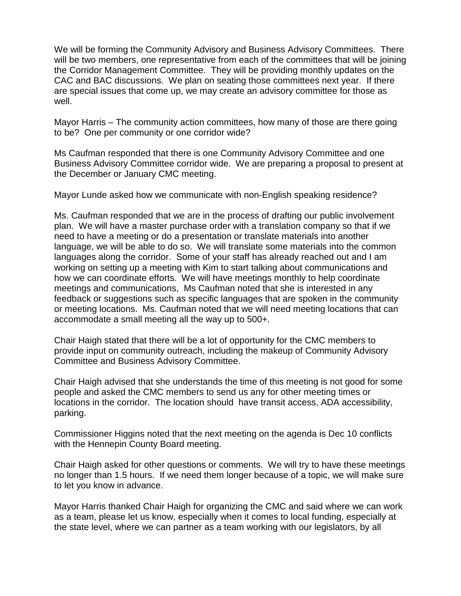We will be forming the Community Advisory and Business Advisory Committees. There will be two members, one representative from each of the committees that will be joining the Corridor Management Committee. They will be providing monthly updates on the CAC and BAC discussions. We plan on seating those committees next year. If there are special issues that come up, we may create an advisory committee for those as well.

Mayor Harris – The community action committees, how many of those are there going to be? One per community or one corridor wide?

Ms Caufman responded that there is one Community Advisory Committee and one Business Advisory Committee corridor wide. We are preparing a proposal to present at the December or January CMC meeting.

Mayor Lunde asked how we communicate with non-English speaking residence?

Ms. Caufman responded that we are in the process of drafting our public involvement plan. We will have a master purchase order with a translation company so that if we need to have a meeting or do a presentation or translate materials into another language, we will be able to do so. We will translate some materials into the common languages along the corridor. Some of your staff has already reached out and I am working on setting up a meeting with Kim to start talking about communications and how we can coordinate efforts. We will have meetings monthly to help coordinate meetings and communications, Ms Caufman noted that she is interested in any feedback or suggestions such as specific languages that are spoken in the community or meeting locations. Ms. Caufman noted that we will need meeting locations that can accommodate a small meeting all the way up to 500+.

Chair Haigh stated that there will be a lot of opportunity for the CMC members to provide input on community outreach, including the makeup of Community Advisory Committee and Business Advisory Committee.

Chair Haigh advised that she understands the time of this meeting is not good for some people and asked the CMC members to send us any for other meeting times or locations in the corridor. The location should have transit access, ADA accessibility, parking.

Commissioner Higgins noted that the next meeting on the agenda is Dec 10 conflicts with the Hennepin County Board meeting.

Chair Haigh asked for other questions or comments. We will try to have these meetings no longer than 1.5 hours. If we need them longer because of a topic, we will make sure to let you know in advance.

Mayor Harris thanked Chair Haigh for organizing the CMC and said where we can work as a team, please let us know, especially when it comes to local funding, especially at the state level, where we can partner as a team working with our legislators, by all